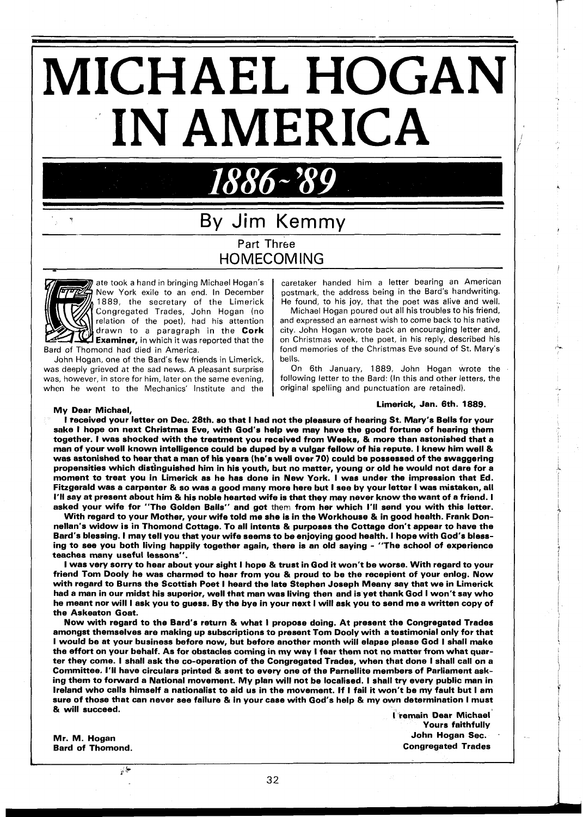# **MICHAEL** HOGAN **IN AMERICA**

## **<sup>v</sup>**By Jim Kemmy Part Three HOMECOMING

1886~'89



ate took a hand in bringing Michael Hogan's New York exile to an end. In December 1889, the secretary of the Limerick Congregated Trades, John Hogan (no relation of the poet), had his attention drawn to a paragraph in the Cork **Examiner,** in which it was reported that the Bard of Thomond had died in America.

John Hogan, one of the Bard's few friends in Limerick, was deeply grieved at the sad news. A pleasant surprise was, however, in store for him, later on the same evening, when he went to the Mechanics' Institute and the

caretaker handed him a letter bearing an American postmark, the address being in the Bard's handwriting. He found, to his joy, that the poet was alive and well.

Michael Hogan poured out all his troubles to his friend, and expressed an earnest wish to come back to his native city. John Hogan wrote back an encouraging letter and, on Christmas week, the poet, in his reply, described his fond memories of the Christmas Eve sound of St. Mary's bells.

On 6th January, 1889, John Hogan wrote the following letter to the Bard: (In this and other letters, the original spelling and punctuation are retained).

### Limerick, Jan. 6th. 1889. My Dear Michael,

I received your letter on Dec. 28th. so that I had not the pleasure of hearing St. Mary's Bells for your sake I hope on next Christmas Eve, with God's help we may have the good fortune of hearing them together. I was shocked with the treatment you received from Weeks, & more than astonished that a man of your well known intelligence could be duped by a vulgar fellow of his repute. I knew him well & was astonished to hearthat a man of his years (he's well over 70) could be possessed of the swaggering propensities which distinguished him in his youth, but no matter, young or old he would not dare for a moment to treat you in Limerick as he has done in New York. I was under the impression that Ed. Fitzgerald was a carpenter & so was a good many more here but I see by your letter I was mistaken, all I'II say at present about him & his noble hearted wife is that they may never know the want of a friend. I asked your wife for "The Golden Balls" and got them from her which I'll send you with this letter.

With regard to your Mother, your wife told me she is in the Workhouse & in good health. Frank Donnellan's widow is in Thomond Cottage. To all intents & purposes the Cottage don't appear to have the Bard's blessing. I may tell you that your wife seems to be enjoying good health. I hope with God's blessing to see you both living happily together again, there is an old saying - "The school of experience teaches many useful lessons".

I was very sorry to hear about your sight I hope & trust in God it won't be worse. With regard to your friend Tom Dooly he was charmed to hear from you & proud to be the recepient of your enlog. Now with regard to Burns the Scottish Poet I heard the late Stephen Joseph Meany say that we in Limerick had a man in our midst his superior, well that man was living then and is yet thank God I won't say who he meant nor will I ask you to guess. By the bye in your next I will ask you to send me a written copy of the Askeaton Goat.

Now with regard to the Bard's return & what I propose doing. At present the Congregated Trades amongst themselves are making up subscriptions to present Tom Dooly with a testimonial only for that amongst themselves are making up subscriptions to present Tom Dooly with a testimonial only for that<br>I would be at your business before now, but before another month will elapse please God I shall make<br>the effort on your b the effort on your behalf. As for obstacles coming in my way I fear them not no matter from what quar-<br>ter they come. I shall ask the co-operation of the Congregated Trades, when that done I shall call on a Committee. I'll have circulars printed & sent to every one of the Parnellite members of Parliament asking them to forward a National movement. My plan will not be localised. I shall try every public man in lreland who calls himself a nationalist to aid us in the movement. If I fail it won't be my fault but I am ireiand who calls nimselt a nationalist to aid us in the movement. It I fail it won't be my fault but I am<br>sure of those that can never see failure & in your case with God's help & my own determination I must out of those that can never see failure of in your case with God's help of my own determination i must<br>& will succeed.<br>Fremain Dear Michael

Bard of Thomond.

 $\psi$ 

Yours faithfully Mr. M. Hogan John Hogan Sec.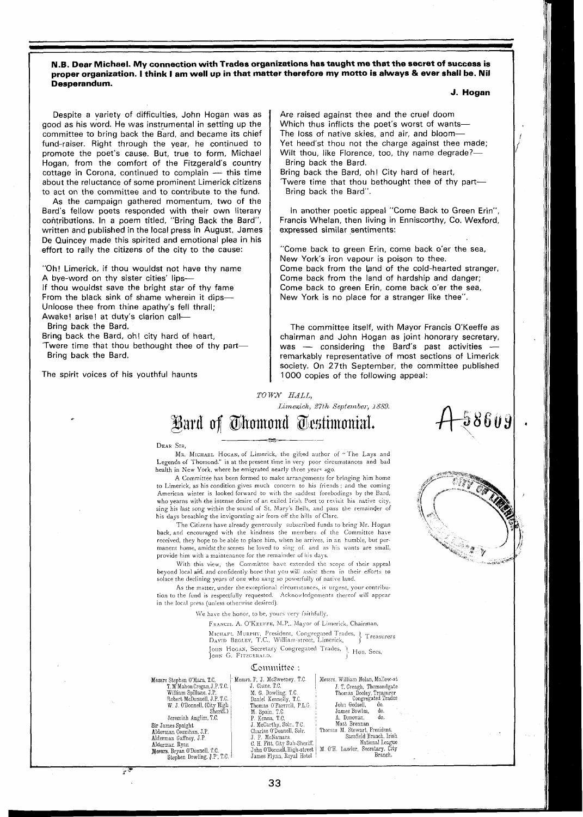**N.B. Dear Michael. My connection with Trades organizations has taught me that the secret of success is proper organization. I think I am well up in that matter therefore my motto is always** & **ever shall be. Nil Desperandum.** 

Despite a variety of difficulties, John Hogan was as good as his word. He was instrumental in setting up the committee to bring back the Bard, and became its chief fund-raiser. Right through the year, he continued to promote the poet's cause. But, true to form, Michael<br>Hogan, from the comfort of the Fitzgerald's country<br>cottage in Corona, continued to complain — this time<br>about the reluctance of some prominent Limerick citizens Hogan, from the comfort of the Fitzgerald's country about the reluctance of some prominent Limerick citizens to act on the committee and to contribute to the fund.

As the campaign gathered momentum, two of the Bard's fellow poets responded with their own literary contributions. In a poem titled, "Bring Back the Bard", written and published in the local press in August, James De Quincey made this spirited and emotional plea in his effort to rally the citizens of the city to the cause:

"Oh! Limerick, if thou wouldst not have thy name A bye-word on thy sister cities' lips-If thou wouldst save the bright star of thy fame From the black sink of shame wherein it dips-Unloose thee from thine apathy's fell thrall; Awake! arise! at duty's clarion call-Bring back the Bard.

Bring back the Bard, oh! city hard of heart, 'Twere time that thou bethought thee of thy part-Bring back the Bard.

The spirit voices of his youthful haunts

7.

**J. Hogan** 

18609

Are raised against thee and the cruel doom Which thus inflicts the poet's worst of wants-The loss of native skies, and air, and bloom-Yet heed'st thou not the charge against thee made; Wilt thou, like Florence, too, thy name degrade?- Bring back the Bard.

Bring back the Bard, oh! City hard of heart,

'Twere time that thou bethought thee of thy part-Bring back the Bard".

In another poetic appeal "Come Back to Green Erin", Francis Whelan, then living in Enniscorthy, Co. Wexford, expressed similar sentiments:

"Come back to green Erin, come back o'er the sea, New York's iron vapour is poison to thee. Come back from the land of the cold-hearted stranger, Come back from the land of hardship and danger; Come back to green Erin, come back o'er the sea, New York is no place for a stranger like thee".

The committee itself, with Mayor Francis O'Keeffe as chairman and John Hogan as joint honorary secretary, was - considering the Bard's past activities remarkably representative of most sections of Limerick society. On 27th September, the committee published 1000 copies of the following appeal:

**TO** *W3V HALL,* 

*Limerich, 27th September, 1889* 

# .-

#### DEAR SIR,

MR. MICBAEL HOGAN, of Limerick, the gifted author of "The Lays and Legends of Thomond." is at the present time in very poor circumstances and bad health in New York, where he emigrated nearly three years ago.

A Committée has been formed to make arrangements for bringing him home to Limerick, as his condition gives much concern to his friends ; and the coming American winter is looked forward to with the saddest forebodings by the Bard, who yearns with the intense desire of an exiled Irish Poet to revisit his native city, sing his last song within the sound of St. Mary's Bells, and pass the remainder of his days breathing the invigorating air from off the hills of Clare.

The Citizens have already generously subscribed funds to bring Mr. Hogan back, and encouraged with the kindness the members of the Committee have received, they hope to be able to place him, when he arrives, in an humble, but permanent home, amidst the scenes he loved to sing of, and as his wants are small, provide him with a maintenance for the remainder of his days.

With this view, the Committee have extended the scope of their appeal beyond local aid, and confidently hone that you will assist them in their efforts to solace the declining years of one who sang so powerfully of native land.

As the matter, under the exceptional circumstances, is urgent, your contribution to the fund is respectfully requested. Acknowledgements thereof will appear in the local prrss (unless otherwise desired).

We have the honor, to be, yours very faithfully,

FRANCIS. A. O'KEEFFE, M.P., Mayor of Limerick, Chairman.

MICHAFL MURPHY, President, Congregated Trades, } Treasurer<br>David Beglev, T.C., William-street, Limerick, } Jour Hogan, Secretary Congregated Trades, J- Hon. Secs.<br>Jour G. FITZGERALD,

 $\overline{\phantom{0}}$ 

| Committee : |
|-------------|
|-------------|

| Messrs Stephen O'Mara, T.C.   | Messrs. P. J. McSweeney, T.C. | Messrs. William Nolan, Mallow-st                              |
|-------------------------------|-------------------------------|---------------------------------------------------------------|
| T. M'Mahon Cregan, J.P.T.C.   | J. Clune, T.C.                | J. T. Creagh, Thomondgate                                     |
| William Spillane. J.P.        | M. G. Dowling, T.C.           | Thomas Dooley, Treasurer<br>Congregated Trades                |
| Robert McDonnell, J.P. T.C.   | Daniel Kennelly, T.C.         |                                                               |
| W. J. O'Donnell, (City High   | Thomas O'Farrrell, P.L.G.     | John Godsell.<br>do.                                          |
| Sheriff.)                     | M. Spain, T.C.                | James Bowles,<br>do.<br>gille i                               |
| Jeremiah Anglim, T.C.         | P. Kenna, T.C.                | A. Donovan.<br>do.                                            |
| Sir James Spaight             | J. McCarthy, Solr., T.C.      | Matt Brennan                                                  |
| Alderman Counihan, J.P.       | Charles O'Donnell, Solr.      | Thomas M. Stewart, President.                                 |
| Alderman Gaffney, J.P.        | J. P. McNamara                | Sarsfield Branch, Irish                                       |
| Aldermar, Ryan                | C. H. Fitt, City Sub-Sheriff. | National League                                               |
| Messrs. Bryan O'Donnell, T.C. |                               | John O'Donnell, High-street   M. O'H. Lawler, Secretary, City |
| Stephen Dowling, J.P., T.C.   | James Flynn, Royal Hotel      | Branch.                                                       |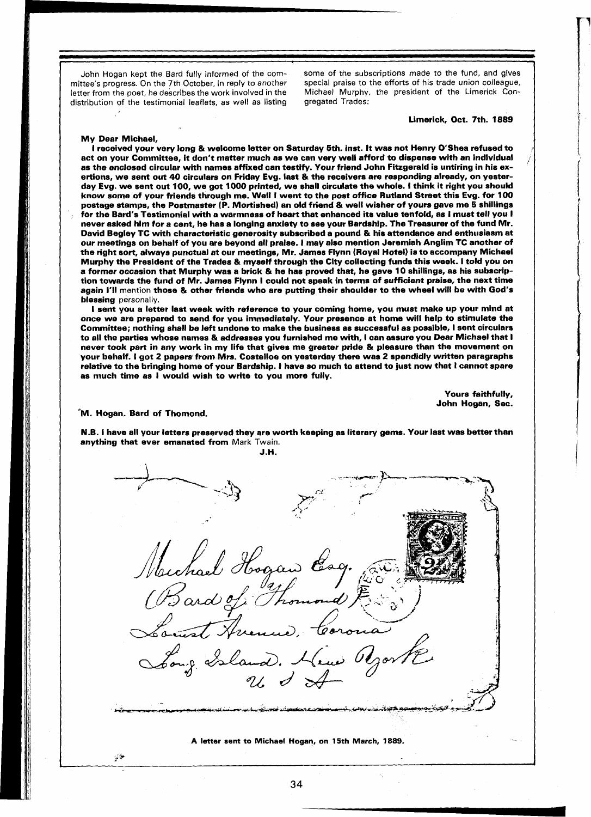letter from the poet, he describes the work involved in the Michael Murphy, distribution of the testimonial leaflets, as well as listing gregated Trades: distribution of the testimonial leaflets, as well as listing

John Hogan kept the Bard fully informed of the com- some of the subscriptions made to the fund, and gives mittee's progress. On the 7th October, in reply to another special praise to the efforts of his trade union colleagu special praise to the efforts of his trade union colleague,<br>Michael Murphy, the president of the Limerick Con-

Limerick, Oct. 7th. 1889

#### My Dear Michael,

I received your very long & welcome letter on Saturday 5th. inst. It was not Henry O'Shea refused to act on your Committee, it don't matter much as we can very well afford to dispense with an individual as the enclosed circular with names affixed can testify. Your friend John Fitzgerald is untiring in his exertions, we sent out 40 circulars on Friday Evg. last & the receivers are responding already, on yesterday Evg. we sent out 100, we got 1000 printed, we shall circulate the whole. I think it right you should know some of your friends through me. Well I went to the post office Rutland Street this Evg. for 100 postage stamps, the Postmaster (P. Mortished) an old friend & well wisher of yours gave me 5 shillings for the Bard's Testimonial with a warmness of heart that enhanced its value tenfold, as I must tell you I never asked him for a cent, he has a longing anxiety to see your Bardship. The Treasurer of the fund Mr. David Begley TC with characteristic generosity subscribed a pound & his attendance and enthusiasm at our meetings on behalf of you are beyond all praise. I may also mention Jeremiah Anglim TC another of the right sort, always punctual at our meetings, Mr. James Flynn (Royal Hotel) is to accompany Michael Murphy the President of the Trades & myself through the City collecting funds this week. I told you on a former occasion that Murphy was a brick & he has proved that, he gave 10 shillings, as his subscription towards the fund of Mr. James Flynn I could not speak in terms of sufficient praise, the next time again I'll mention those *81* other friends who are putting their shoulder to the wheel will be with God's blessing personally.

I sent you a letter last week with reference to your coming home, you must make up your mind at once we are prepared to send for you immediately. Your presence at home will help to stimulate the Committee; nothing shall be left undone to make the business as successful as possible, I sent circulars to all the parties whose names & addresses you furnished me with, I can assure you Dear Michael that I never took part in any work in my life that gives me greater pride & pleasure than the movement on your behalf. I got 2 papers from Mrs. Costelloe on yesterday there was 2 spendidly written paragraphs your behalf. I got 2 papers from Mrs. Costelloe on yesterday there was 2 spendidly written paragraphs<br>relative to the bringing home of your Bardship. I have so much to attend to just now that I cannot spare as much time as I would wish to write to you more fully.

> Yours faithfully, John Hogan, Sec.

#### M. Hogan. Bard of Thomond.

**\$'h** 

N.B. I have all your letters preserved they are worth keeping as literary gems. Your last was better than anything that ever emanated from Mark Twain. J.H.

**A letter sent to Michael Hogan, on 15th March, 1889.**